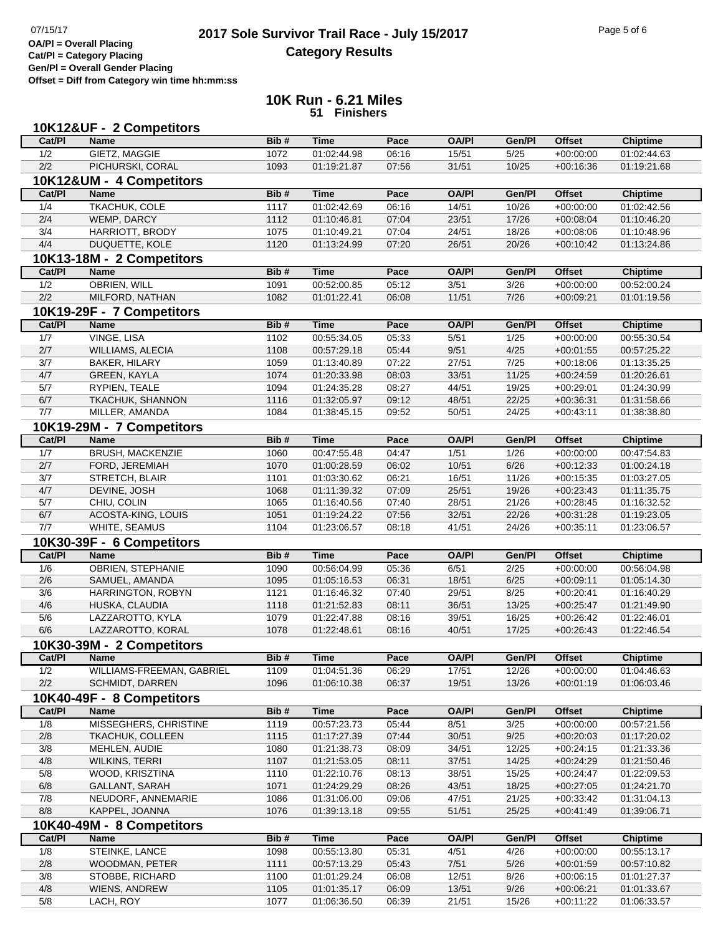## **2017 Sole Survivor Trail Race - July 15/2017** Page 5 of 6 Page 5 of 6 Page 5 of 6 **Category Results**

**Cat/Pl = Category Placing Gen/Pl = Overall Gender Placing**

**Offset = Diff from Category win time hh:mm:ss**

## **10K Run - 6.21 Miles 51 Finishers**

|              | 10K12&UF - 2 Competitors          |              |                            |                |                |                |                            |                            |
|--------------|-----------------------------------|--------------|----------------------------|----------------|----------------|----------------|----------------------------|----------------------------|
| Cat/PI       | <b>Name</b>                       | Bib#         | <b>Time</b>                | Pace           | <b>OA/PI</b>   | Gen/Pl         | <b>Offset</b>              | <b>Chiptime</b>            |
| 1/2          | GIETZ, MAGGIE                     | 1072         | 01:02:44.98                | 06:16          | 15/51          | 5/25           | $+00:00:00$                | 01:02:44.63                |
| 2/2          | PICHURSKI, CORAL                  | 1093         | 01:19:21.87                | 07:56          | 31/51          | 10/25          | $+00:16:36$                | 01:19:21.68                |
|              | 10K12&UM - 4 Competitors          |              |                            |                |                |                |                            |                            |
| Cat/PI       | <b>Name</b>                       | Bib#         | <b>Time</b>                | Pace           | <b>OA/PI</b>   | Gen/PI         | <b>Offset</b>              | <b>Chiptime</b>            |
| 1/4          | <b>TKACHUK, COLE</b>              | 1117         | 01:02:42.69                | 06:16          | 14/51          | 10/26          | $+00:00:00$                | 01:02:42.56                |
| 2/4          | WEMP, DARCY                       | 1112         | 01:10:46.81                | 07:04          | 23/51          | 17/26          | $+00:08:04$                | 01:10:46.20                |
| 3/4          | HARRIOTT, BRODY                   | 1075         | 01:10:49.21                | 07:04          | 24/51          | 18/26          | $+00:08:06$                | 01:10:48.96                |
| 4/4          | DUQUETTE, KOLE                    | 1120         | 01:13:24.99                | 07:20          | 26/51          | 20/26          | $+00:10:42$                | 01:13:24.86                |
|              | 10K13-18M - 2 Competitors         |              |                            |                |                |                |                            |                            |
| Cat/PI       | <b>Name</b>                       | Bib#         | <b>Time</b>                | Pace           | <b>OA/PI</b>   | Gen/Pl         | <b>Offset</b>              | <b>Chiptime</b>            |
| 1/2          | <b>OBRIEN, WILL</b>               | 1091         | 00:52:00.85                | 05:12          | 3/51           | 3/26           | $+00:00:00$                | 00:52:00.24                |
| 2/2          | MILFORD, NATHAN                   | 1082         | 01:01:22.41                | 06:08          | 11/51          | 7/26           | $+00:09:21$                | 01:01:19.56                |
|              | 10K19-29F - 7 Competitors         |              |                            |                |                |                |                            |                            |
| Cat/PI       | <b>Name</b>                       | Bib#         | <b>Time</b>                | Pace           | <b>OA/PI</b>   | Gen/Pl         | <b>Offset</b>              | <b>Chiptime</b>            |
| 1/7          | VINGE, LISA                       | 1102         | 00:55:34.05                | 05:33          | 5/51           | 1/25           | $+00:00:00$                | 00:55:30.54                |
| 2/7          | WILLIAMS, ALECIA                  | 1108         | 00:57:29.18                | 05:44          | 9/51           | 4/25           |                            | 00:57:25.22                |
| 3/7          | BAKER, HILARY                     | 1059         | 01:13:40.89                | 07:22          | 27/51          | 7/25           | $+00:01:55$<br>$+00:18:06$ | 01:13:35.25                |
|              |                                   | 1074         |                            | 08:03          |                | 11/25          |                            |                            |
| 4/7          | <b>GREEN, KAYLA</b>               |              | 01:20:33.98                |                | 33/51          |                | $+00:24:59$                | 01:20:26.61                |
| 5/7<br>6/7   | RYPIEN, TEALE<br>TKACHUK, SHANNON | 1094<br>1116 | 01:24:35.28<br>01:32:05.97 | 08:27<br>09:12 | 44/51<br>48/51 | 19/25<br>22/25 | $+00:29:01$<br>$+00:36:31$ | 01:24:30.99                |
| 7/7          | MILLER, AMANDA                    | 1084         | 01:38:45.15                | 09:52          | 50/51          | 24/25          | $+00:43:11$                | 01:31:58.66<br>01:38:38.80 |
|              |                                   |              |                            |                |                |                |                            |                            |
|              | 10K19-29M - 7 Competitors         |              |                            |                |                |                |                            |                            |
| Cat/PI       | <b>Name</b>                       | Bib#         | <b>Time</b>                | Pace           | <b>OA/PI</b>   | Gen/Pl         | <b>Offset</b>              | <b>Chiptime</b>            |
| 1/7          | <b>BRUSH, MACKENZIE</b>           | 1060         | 00:47:55.48                | 04:47          | 1/51           | 1/26           | $+00:00:00$                | 00:47:54.83                |
| 2/7          | FORD, JEREMIAH                    | 1070         | 01:00:28.59                | 06:02          | 10/51          | 6/26           | $+00:12:33$                | 01:00:24.18                |
| 3/7          | STRETCH, BLAIR                    | 1101         | 01:03:30.62                | 06:21          | 16/51          | 11/26          | $+00:15:35$                | 01:03:27.05                |
| 4/7          | DEVINE, JOSH                      | 1068         | 01:11:39.32                | 07:09          | 25/51          | 19/26          | $+00:23:43$                | 01:11:35.75                |
| 5/7          | CHIU, COLIN                       | 1065         | 01:16:40.56                | 07:40          | 28/51          | 21/26          | $+00:28:45$                | 01:16:32.52                |
| 6/7          | ACOSTA-KING, LOUIS                | 1051         | 01:19:24.22                | 07:56          | 32/51          | 22/26          | $+00:31:28$                | 01:19:23.05                |
| 7/7          | WHITE, SEAMUS                     | 1104         | 01:23:06.57                | 08:18          | 41/51          | 24/26          | $+00:35:11$                | 01:23:06.57                |
|              | 10K30-39F - 6 Competitors         |              |                            |                |                |                |                            |                            |
| Cat/PI       | <b>Name</b>                       | Bib#         | <b>Time</b>                | Pace           | <b>OA/PI</b>   | Gen/Pl         | <b>Offset</b>              | <b>Chiptime</b>            |
| 1/6          | <b>OBRIEN, STEPHANIE</b>          | 1090         | 00:56:04.99                | 05:36          | 6/51           | 2/25           | $+00:00:00$                | 00:56:04.98                |
| 2/6          | SAMUEL, AMANDA                    | 1095         | 01:05:16.53                | 06:31          | 18/51          | 6/25           | $+00:09:11$                | 01:05:14.30                |
| 3/6          | HARRINGTON, ROBYN                 | 1121         | 01:16:46.32                | 07:40          | 29/51          | 8/25           | $+00:20:41$                | 01:16:40.29                |
| 4/6          | HUSKA, CLAUDIA                    | 1118         | 01:21:52.83                | 08:11          | 36/51          | 13/25          | $+00:25:47$                | 01:21:49.90                |
| 5/6          | LAZZAROTTO, KYLA                  | 1079         | 01:22:47.88                | 08:16          | 39/51          | 16/25          | $+00:26:42$                | 01:22:46.01                |
| 6/6          | LAZZAROTTO, KORAL                 | 1078         | 01:22:48.61                | 08:16          | 40/51          | 17/25          | $+00:26:43$                | 01:22:46.54                |
|              | 10K30-39M - 2 Competitors         |              |                            |                |                |                |                            |                            |
| Cat/PI       | Name                              | Bib#         | <b>Time</b>                | Pace           | <b>OA/PI</b>   | Gen/Pl         | <b>Offset</b>              | <b>Chiptime</b>            |
| 1/2          | WILLIAMS-FREEMAN, GABRIEL         | 1109         | 01:04:51.36                | 06:29          | 17/51          | 12/26          | $+00:00:00$                | 01:04:46.63                |
| 2/2          | SCHMIDT, DARREN                   | 1096         | 01:06:10.38                | 06:37          | 19/51          | 13/26          | $+00:01:19$                | 01:06:03.46                |
|              | 10K40-49F - 8 Competitors         |              |                            |                |                |                |                            |                            |
| Cat/PI       | Name                              | Bib#         | <b>Time</b>                | Pace           | <b>OA/PI</b>   | Gen/Pl         | <b>Offset</b>              | <b>Chiptime</b>            |
| 1/8          | MISSEGHERS, CHRISTINE             | 1119         | 00:57:23.73                | 05:44          | 8/51           | 3/25           | $+00:00:00$                | 00:57:21.56                |
| 2/8          | <b>TKACHUK, COLLEEN</b>           | 1115         | 01:17:27.39                | 07:44          | 30/51          | 9/25           | $+00:20:03$                | 01:17:20.02                |
| 3/8          | MEHLEN, AUDIE                     | 1080         | 01:21:38.73                | 08:09          | 34/51          | 12/25          | $+00:24:15$                | 01:21:33.36                |
| 4/8          | WILKINS, TERRI                    | 1107         | 01:21:53.05                | 08:11          | 37/51          | 14/25          | $+00:24:29$                | 01:21:50.46                |
| 5/8          | WOOD, KRISZTINA                   | 1110         | 01:22:10.76                | 08:13          | 38/51          | 15/25          | $+00:24:47$                | 01:22:09.53                |
| $6/8$        | GALLANT, SARAH                    | 1071         | 01:24:29.29                | 08:26          | 43/51          | 18/25          | $+00:27:05$                | 01:24:21.70                |
| 7/8          | NEUDORF, ANNEMARIE                | 1086         | 01:31:06.00                | 09:06          | 47/51          | 21/25          | $+00:33:42$                | 01:31:04.13                |
| 8/8          | KAPPEL, JOANNA                    | 1076         | 01:39:13.18                | 09:55          | 51/51          | 25/25          | $+00:41:49$                | 01:39:06.71                |
|              |                                   |              |                            |                |                |                |                            |                            |
|              |                                   |              |                            |                |                |                |                            |                            |
|              | 10K40-49M - 8 Competitors         |              |                            |                |                |                |                            |                            |
| Cat/PI       | Name                              | Bib#         | <b>Time</b>                | Pace           | <b>OA/PI</b>   | Gen/Pl         | <b>Offset</b>              | <b>Chiptime</b>            |
| 1/8          | STEINKE, LANCE                    | 1098         | 00:55:13.80                | 05:31          | 4/51           | 4/26           | $+00:00:00$                | 00:55:13.17                |
| 2/8          | WOODMAN, PETER                    | 1111         | 00:57:13.29                | 05:43          | 7/51           | 5/26           | $+00:01:59$                | 00:57:10.82                |
| 3/8          | STOBBE, RICHARD                   | 1100         | 01:01:29.24                | 06:08          | 12/51          | 8/26           | $+00:06:15$                | 01:01:27.37                |
| $4/8$<br>5/8 | WIENS, ANDREW<br>LACH, ROY        | 1105<br>1077 | 01:01:35.17<br>01:06:36.50 | 06:09<br>06:39 | 13/51<br>21/51 | 9/26<br>15/26  | $+00:06:21$<br>$+00:11:22$ | 01:01:33.67<br>01:06:33.57 |